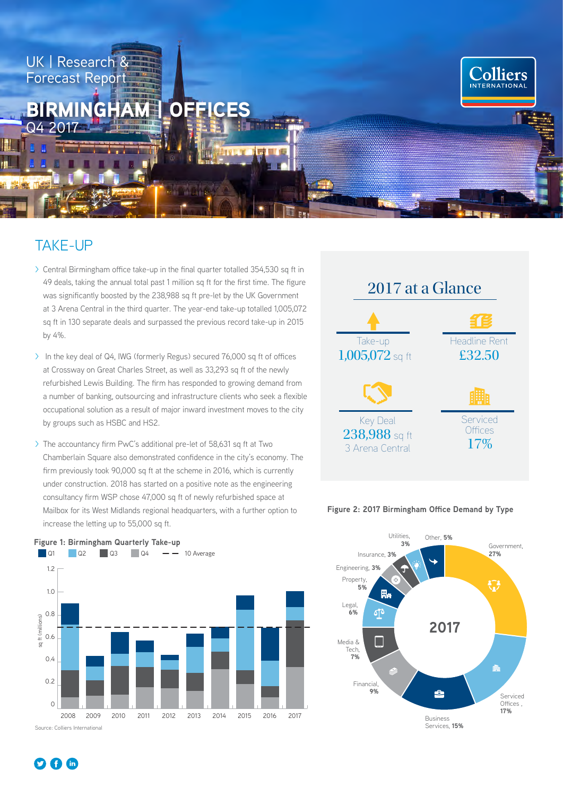

## TAKE-UP

- > Central Birmingham office take-up in the final quarter totalled 354,530 sq ft in 49 deals, taking the annual total past 1 million sq ft for the first time. The figure was significantly boosted by the 238,988 sq ft pre-let by the UK Government at 3 Arena Central in the third quarter. The year-end take-up totalled 1,005,072 sq ft in 130 separate deals and surpassed the previous record take-up in 2015 by 4%.
- > In the key deal of Q4, IWG (formerly Regus) secured 76,000 sq ft of offices at Crossway on Great Charles Street, as well as 33,293 sq ft of the newly refurbished Lewis Building. The firm has responded to growing demand from a number of banking, outsourcing and infrastructure clients who seek a flexible occupational solution as a result of major inward investment moves to the city by groups such as HSBC and HS2.
- > The accountancy firm PwC's additional pre-let of 58,631 sq ft at Two Chamberlain Square also demonstrated confidence in the city's economy. The firm previously took 90,000 sq ft at the scheme in 2016, which is currently under construction. 2018 has started on a positive note as the engineering consultancy firm WSP chose 47,000 sq ft of newly refurbished space at Mailbox for its West Midlands regional headquarters, with a further option to increase the letting up to 55,000 sq ft.



#### **Figure 2: 2017 Birmingham Office Demand by Type**





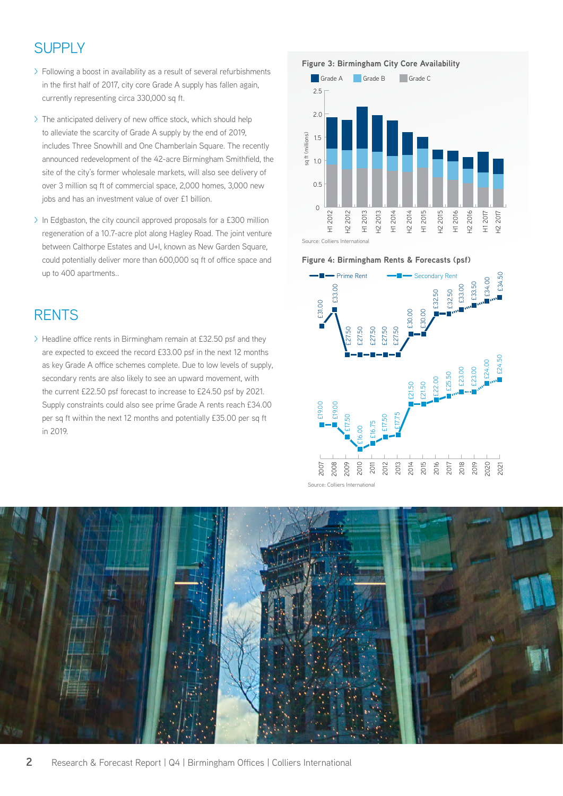# SUPPLY

- > Following a boost in availability as a result of several refurbishments in the first half of 2017, city core Grade A supply has fallen again, currently representing circa 330,000 sq ft.
- > The anticipated delivery of new office stock, which should help to alleviate the scarcity of Grade A supply by the end of 2019, includes Three Snowhill and One Chamberlain Square. The recently announced redevelopment of the 42-acre Birmingham Smithfield, the site of the city's former wholesale markets, will also see delivery of over 3 million sq ft of commercial space, 2,000 homes, 3,000 new jobs and has an investment value of over £1 billion.
- > In Edgbaston, the city council approved proposals for a £300 million regeneration of a 10.7-acre plot along Hagley Road. The joint venture between Calthorpe Estates and U+I, known as New Garden Square, could potentially deliver more than 600,000 sq ft of office space and up to 400 apartments..

### **RENTS**

> Headline office rents in Birmingham remain at £32.50 psf and they are expected to exceed the record £33.00 psf in the next 12 months as key Grade A office schemes complete. Due to low levels of supply, secondary rents are also likely to see an upward movement, with the current £22.50 psf forecast to increase to £24.50 psf by 2021. Supply constraints could also see prime Grade A rents reach £34.00 per sq ft within the next 12 months and potentially £35.00 per sq ft in 2019.